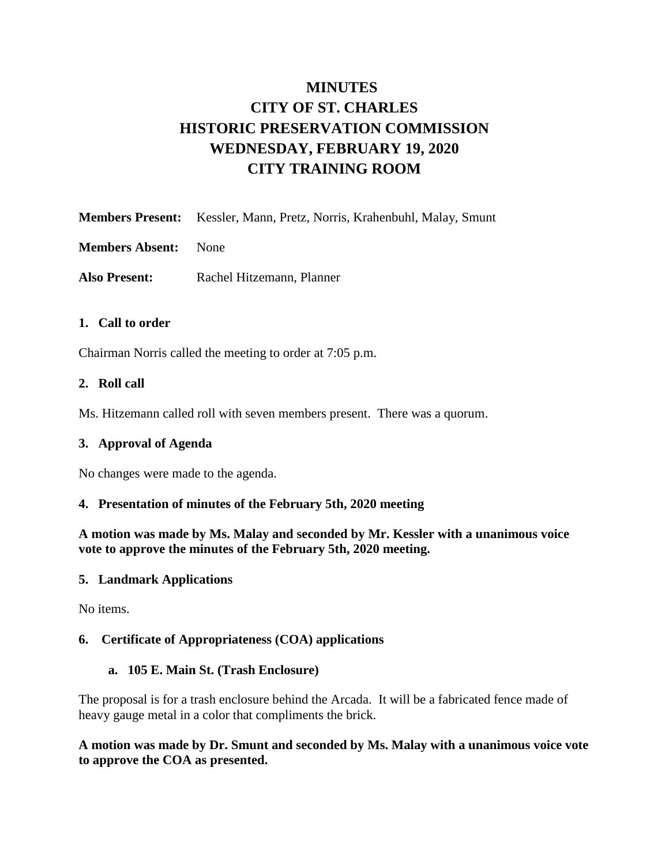# **MINUTES CITY OF ST. CHARLES HISTORIC PRESERVATION COMMISSION WEDNESDAY, FEBRUARY 19, 2020 CITY TRAINING ROOM**

| Members Present: Kessler, Mann, Pretz, Norris, Krahenbuhl, Malay, Smunt |  |  |
|-------------------------------------------------------------------------|--|--|
|                                                                         |  |  |

**Members Absent:** None

**Also Present:** Rachel Hitzemann, Planner

#### **1. Call to order**

Chairman Norris called the meeting to order at 7:05 p.m.

### **2. Roll call**

Ms. Hitzemann called roll with seven members present. There was a quorum.

#### **3. Approval of Agenda**

No changes were made to the agenda.

#### **4. Presentation of minutes of the February 5th, 2020 meeting**

**A motion was made by Ms. Malay and seconded by Mr. Kessler with a unanimous voice vote to approve the minutes of the February 5th, 2020 meeting.** 

#### **5. Landmark Applications**

No items.

## **6. Certificate of Appropriateness (COA) applications**

#### **a. 105 E. Main St. (Trash Enclosure)**

The proposal is for a trash enclosure behind the Arcada. It will be a fabricated fence made of heavy gauge metal in a color that compliments the brick.

**A motion was made by Dr. Smunt and seconded by Ms. Malay with a unanimous voice vote to approve the COA as presented.**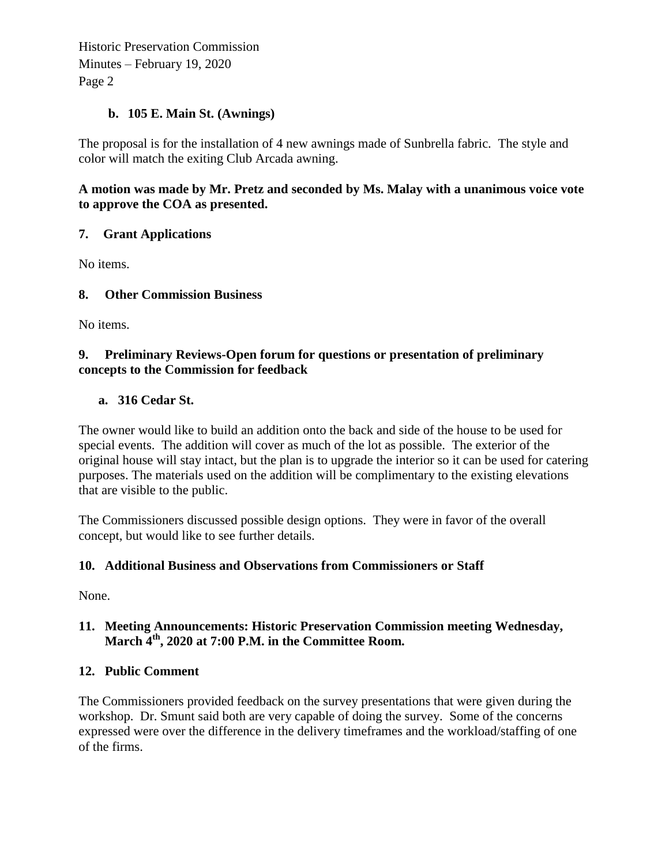Historic Preservation Commission Minutes – February 19, 2020 Page 2

## **b. 105 E. Main St. (Awnings)**

The proposal is for the installation of 4 new awnings made of Sunbrella fabric. The style and color will match the exiting Club Arcada awning.

# **A motion was made by Mr. Pretz and seconded by Ms. Malay with a unanimous voice vote to approve the COA as presented.**

# **7. Grant Applications**

No items.

# **8. Other Commission Business**

No items.

## **9. Preliminary Reviews-Open forum for questions or presentation of preliminary concepts to the Commission for feedback**

## **a. 316 Cedar St.**

The owner would like to build an addition onto the back and side of the house to be used for special events. The addition will cover as much of the lot as possible. The exterior of the original house will stay intact, but the plan is to upgrade the interior so it can be used for catering purposes. The materials used on the addition will be complimentary to the existing elevations that are visible to the public.

The Commissioners discussed possible design options. They were in favor of the overall concept, but would like to see further details.

## **10. Additional Business and Observations from Commissioners or Staff**

None.

# **11. Meeting Announcements: Historic Preservation Commission meeting Wednesday, March 4th , 2020 at 7:00 P.M. in the Committee Room.**

## **12. Public Comment**

The Commissioners provided feedback on the survey presentations that were given during the workshop. Dr. Smunt said both are very capable of doing the survey. Some of the concerns expressed were over the difference in the delivery timeframes and the workload/staffing of one of the firms.